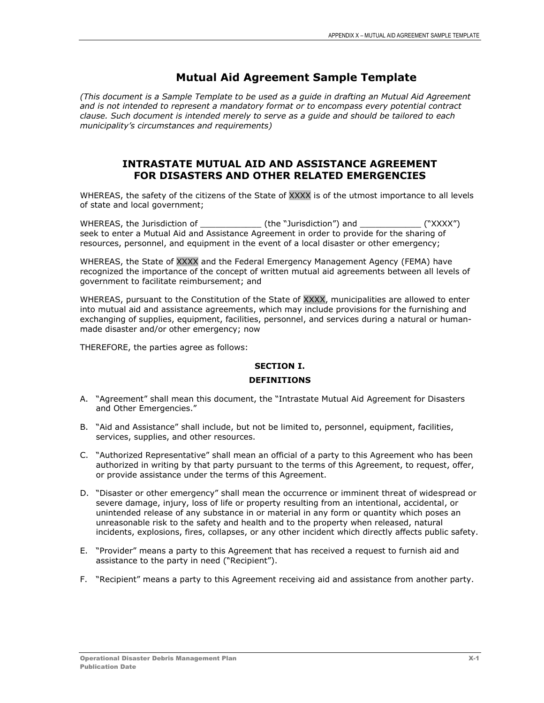# **Mutual Aid Agreement Sample Template**

*(This document is a Sample Template to be used as a guide in drafting an Mutual Aid Agreement and is not intended to represent a mandatory format or to encompass every potential contract clause. Such document is intended merely to serve as a guide and should be tailored to each municipality's circumstances and requirements)*

# **INTRASTATE MUTUAL AID AND ASSISTANCE AGREEMENT FOR DISASTERS AND OTHER RELATED EMERGENCIES**

WHEREAS, the safety of the citizens of the State of XXXX is of the utmost importance to all levels of state and local government;

WHEREAS, the Jurisdiction of \_\_\_\_\_\_\_\_\_\_\_\_\_\_\_(the "Jurisdiction") and \_\_\_\_\_\_\_\_\_\_\_\_\_ ("XXXX") seek to enter a Mutual Aid and Assistance Agreement in order to provide for the sharing of resources, personnel, and equipment in the event of a local disaster or other emergency;

WHEREAS, the State of XXXX and the Federal Emergency Management Agency (FEMA) have recognized the importance of the concept of written mutual aid agreements between all levels of government to facilitate reimbursement; and

WHEREAS, pursuant to the Constitution of the State of XXXX, municipalities are allowed to enter into mutual aid and assistance agreements, which may include provisions for the furnishing and exchanging of supplies, equipment, facilities, personnel, and services during a natural or humanmade disaster and/or other emergency; now

THEREFORE, the parties agree as follows:

## **SECTION I.**

## **DEFINITIONS**

- A. "Agreement" shall mean this document, the "Intrastate Mutual Aid Agreement for Disasters and Other Emergencies."
- B. "Aid and Assistance" shall include, but not be limited to, personnel, equipment, facilities, services, supplies, and other resources.
- C. "Authorized Representative" shall mean an official of a party to this Agreement who has been authorized in writing by that party pursuant to the terms of this Agreement, to request, offer, or provide assistance under the terms of this Agreement.
- D. "Disaster or other emergency" shall mean the occurrence or imminent threat of widespread or severe damage, injury, loss of life or property resulting from an intentional, accidental, or unintended release of any substance in or material in any form or quantity which poses an unreasonable risk to the safety and health and to the property when released, natural incidents, explosions, fires, collapses, or any other incident which directly affects public safety.
- E. "Provider" means a party to this Agreement that has received a request to furnish aid and assistance to the party in need ("Recipient").
- F. "Recipient" means a party to this Agreement receiving aid and assistance from another party.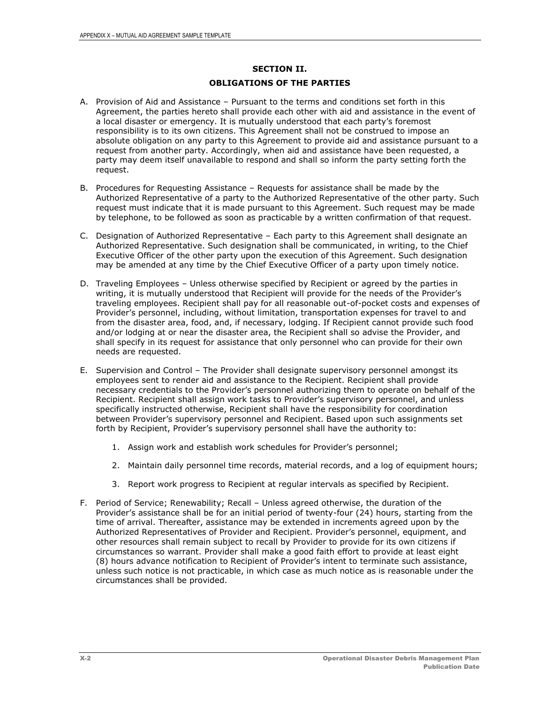# **SECTION II. OBLIGATIONS OF THE PARTIES**

- A. Provision of Aid and Assistance Pursuant to the terms and conditions set forth in this Agreement, the parties hereto shall provide each other with aid and assistance in the event of a local disaster or emergency. It is mutually understood that each party's foremost responsibility is to its own citizens. This Agreement shall not be construed to impose an absolute obligation on any party to this Agreement to provide aid and assistance pursuant to a request from another party. Accordingly, when aid and assistance have been requested, a party may deem itself unavailable to respond and shall so inform the party setting forth the request.
- B. Procedures for Requesting Assistance Requests for assistance shall be made by the Authorized Representative of a party to the Authorized Representative of the other party. Such request must indicate that it is made pursuant to this Agreement. Such request may be made by telephone, to be followed as soon as practicable by a written confirmation of that request.
- C. Designation of Authorized Representative Each party to this Agreement shall designate an Authorized Representative. Such designation shall be communicated, in writing, to the Chief Executive Officer of the other party upon the execution of this Agreement. Such designation may be amended at any time by the Chief Executive Officer of a party upon timely notice.
- D. Traveling Employees Unless otherwise specified by Recipient or agreed by the parties in writing, it is mutually understood that Recipient will provide for the needs of the Provider's traveling employees. Recipient shall pay for all reasonable out-of-pocket costs and expenses of Provider's personnel, including, without limitation, transportation expenses for travel to and from the disaster area, food, and, if necessary, lodging. If Recipient cannot provide such food and/or lodging at or near the disaster area, the Recipient shall so advise the Provider, and shall specify in its request for assistance that only personnel who can provide for their own needs are requested.
- E. Supervision and Control The Provider shall designate supervisory personnel amongst its employees sent to render aid and assistance to the Recipient. Recipient shall provide necessary credentials to the Provider's personnel authorizing them to operate on behalf of the Recipient. Recipient shall assign work tasks to Provider's supervisory personnel, and unless specifically instructed otherwise, Recipient shall have the responsibility for coordination between Provider's supervisory personnel and Recipient. Based upon such assignments set forth by Recipient, Provider's supervisory personnel shall have the authority to:
	- 1. Assign work and establish work schedules for Provider's personnel;
	- 2. Maintain daily personnel time records, material records, and a log of equipment hours;
	- 3. Report work progress to Recipient at regular intervals as specified by Recipient.
- F. Period of Service; Renewability; Recall Unless agreed otherwise, the duration of the Provider's assistance shall be for an initial period of twenty-four (24) hours, starting from the time of arrival. Thereafter, assistance may be extended in increments agreed upon by the Authorized Representatives of Provider and Recipient. Provider's personnel, equipment, and other resources shall remain subject to recall by Provider to provide for its own citizens if circumstances so warrant. Provider shall make a good faith effort to provide at least eight (8) hours advance notification to Recipient of Provider's intent to terminate such assistance, unless such notice is not practicable, in which case as much notice as is reasonable under the circumstances shall be provided.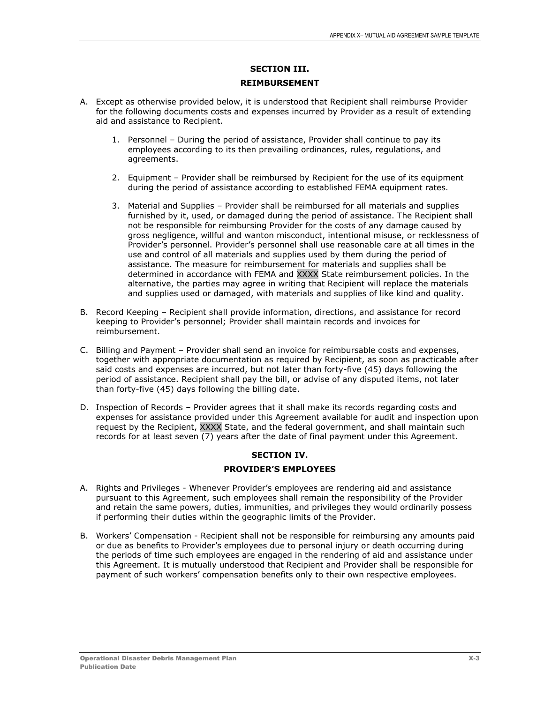# **SECTION III. REIMBURSEMENT**

- A. Except as otherwise provided below, it is understood that Recipient shall reimburse Provider for the following documents costs and expenses incurred by Provider as a result of extending aid and assistance to Recipient.
	- 1. Personnel During the period of assistance, Provider shall continue to pay its employees according to its then prevailing ordinances, rules, regulations, and agreements.
	- 2. Equipment Provider shall be reimbursed by Recipient for the use of its equipment during the period of assistance according to established FEMA equipment rates.
	- 3. Material and Supplies Provider shall be reimbursed for all materials and supplies furnished by it, used, or damaged during the period of assistance. The Recipient shall not be responsible for reimbursing Provider for the costs of any damage caused by gross negligence, willful and wanton misconduct, intentional misuse, or recklessness of Provider's personnel. Provider's personnel shall use reasonable care at all times in the use and control of all materials and supplies used by them during the period of assistance. The measure for reimbursement for materials and supplies shall be determined in accordance with FEMA and XXXX State reimbursement policies. In the alternative, the parties may agree in writing that Recipient will replace the materials and supplies used or damaged, with materials and supplies of like kind and quality.
- B. Record Keeping Recipient shall provide information, directions, and assistance for record keeping to Provider's personnel; Provider shall maintain records and invoices for reimbursement.
- C. Billing and Payment Provider shall send an invoice for reimbursable costs and expenses, together with appropriate documentation as required by Recipient, as soon as practicable after said costs and expenses are incurred, but not later than forty-five (45) days following the period of assistance. Recipient shall pay the bill, or advise of any disputed items, not later than forty-five (45) days following the billing date.
- D. Inspection of Records Provider agrees that it shall make its records regarding costs and expenses for assistance provided under this Agreement available for audit and inspection upon request by the Recipient, XXXX State, and the federal government, and shall maintain such records for at least seven (7) years after the date of final payment under this Agreement.

## **SECTION IV.**

## **PROVIDER'S EMPLOYEES**

- A. Rights and Privileges Whenever Provider's employees are rendering aid and assistance pursuant to this Agreement, such employees shall remain the responsibility of the Provider and retain the same powers, duties, immunities, and privileges they would ordinarily possess if performing their duties within the geographic limits of the Provider.
- B. Workers' Compensation Recipient shall not be responsible for reimbursing any amounts paid or due as benefits to Provider's employees due to personal injury or death occurring during the periods of time such employees are engaged in the rendering of aid and assistance under this Agreement. It is mutually understood that Recipient and Provider shall be responsible for payment of such workers' compensation benefits only to their own respective employees.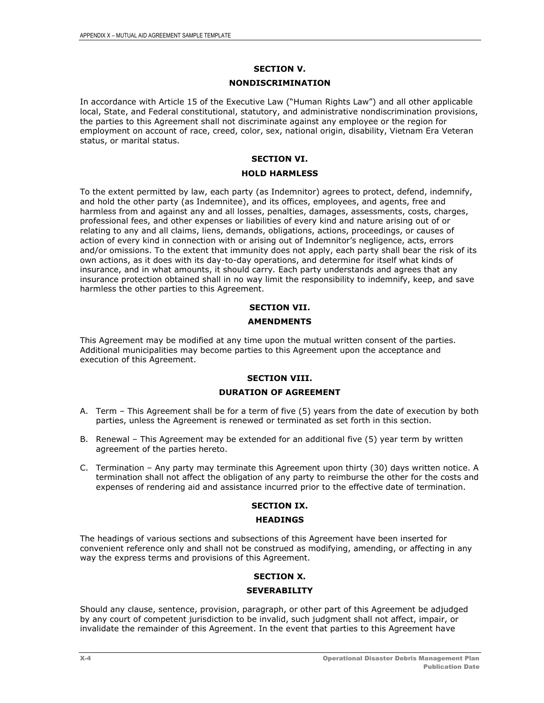## **SECTION V.**

### **NONDISCRIMINATION**

In accordance with Article 15 of the Executive Law ("Human Rights Law") and all other applicable local, State, and Federal constitutional, statutory, and administrative nondiscrimination provisions, the parties to this Agreement shall not discriminate against any employee or the region for employment on account of race, creed, color, sex, national origin, disability, Vietnam Era Veteran status, or marital status.

#### **SECTION VI.**

### **HOLD HARMLESS**

To the extent permitted by law, each party (as Indemnitor) agrees to protect, defend, indemnify, and hold the other party (as Indemnitee), and its offices, employees, and agents, free and harmless from and against any and all losses, penalties, damages, assessments, costs, charges, professional fees, and other expenses or liabilities of every kind and nature arising out of or relating to any and all claims, liens, demands, obligations, actions, proceedings, or causes of action of every kind in connection with or arising out of Indemnitor's negligence, acts, errors and/or omissions. To the extent that immunity does not apply, each party shall bear the risk of its own actions, as it does with its day-to-day operations, and determine for itself what kinds of insurance, and in what amounts, it should carry. Each party understands and agrees that any insurance protection obtained shall in no way limit the responsibility to indemnify, keep, and save harmless the other parties to this Agreement.

## **SECTION VII.**

### **AMENDMENTS**

This Agreement may be modified at any time upon the mutual written consent of the parties. Additional municipalities may become parties to this Agreement upon the acceptance and execution of this Agreement.

## **SECTION VIII.**

### **DURATION OF AGREEMENT**

- A. Term This Agreement shall be for a term of five (5) years from the date of execution by both parties, unless the Agreement is renewed or terminated as set forth in this section.
- B. Renewal This Agreement may be extended for an additional five (5) year term by written agreement of the parties hereto.
- C. Termination Any party may terminate this Agreement upon thirty (30) days written notice. A termination shall not affect the obligation of any party to reimburse the other for the costs and expenses of rendering aid and assistance incurred prior to the effective date of termination.

#### **SECTION IX.**

#### **HEADINGS**

The headings of various sections and subsections of this Agreement have been inserted for convenient reference only and shall not be construed as modifying, amending, or affecting in any way the express terms and provisions of this Agreement.

## **SECTION X.**

#### **SEVERABILITY**

Should any clause, sentence, provision, paragraph, or other part of this Agreement be adjudged by any court of competent jurisdiction to be invalid, such judgment shall not affect, impair, or invalidate the remainder of this Agreement. In the event that parties to this Agreement have